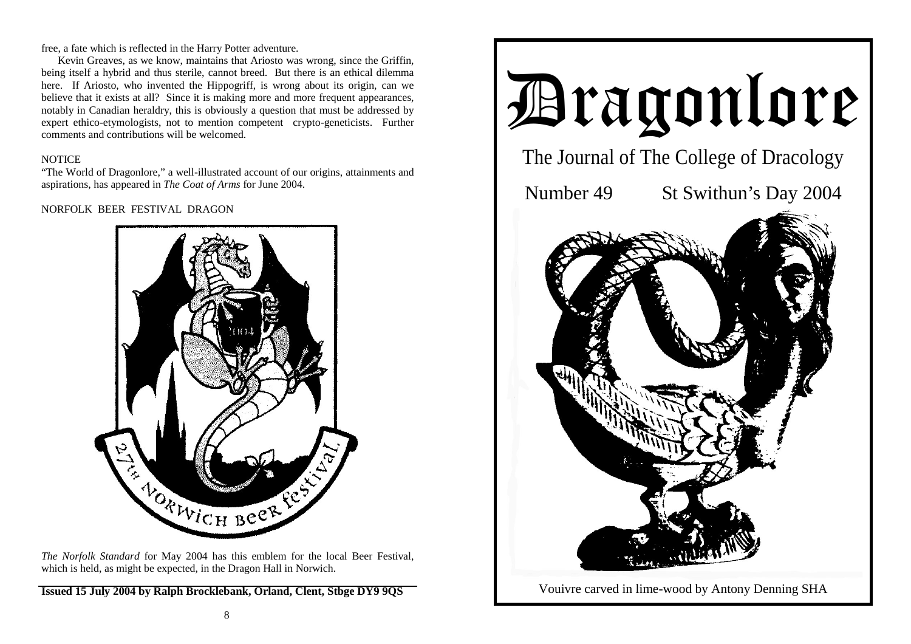free, a fate which is reflected in the Harry Potter adventure.

 Kevin Greaves, as we know, maintains that Ariosto was wrong, since the Griffin, being itself a hybrid and thus sterile, cannot breed. But there is an ethical dilemma here. If Ariosto, who invented the Hippogriff, is wrong about its origin, can we believe that it exists at all? Since it is making more and more frequent appearances, notably in Canadian heraldry, this is obviously a question that must be addressed by expert ethico-etymologists, not to mention competent crypto-geneticists. Further comments and contributions will be welcomed.

## **NOTICE**

"The World of Dragonlore," a well-illustrated account of our origins, attainments and aspirations, has appeared in *The Coat of Arms* for June 2004.

# NORFOLK BEER FESTIVAL DRAGON



*The Norfolk Standard* for May 2004 has this emblem for the local Beer Festival, which is held, as might be expected, in the Dragon Hall in Norwich.

**Issued 15 July 2004 by Ralph Brocklebank, Orland, Clent, Stbge DY9 9QS** 

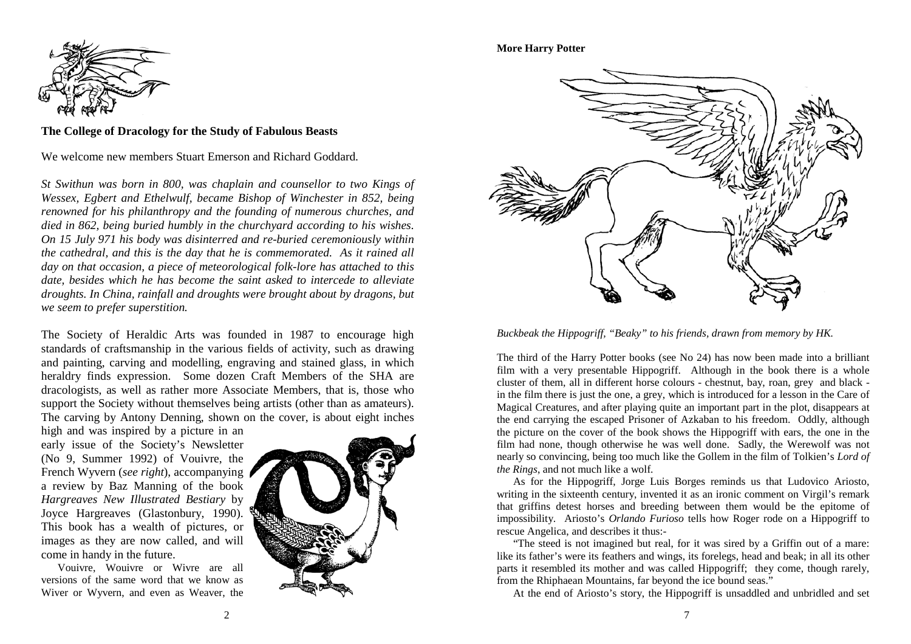

**The College of Dracology for the Study of Fabulous Beasts** 

We welcome new members Stuart Emerson and Richard Goddard.

*St Swithun was born in 800, was chaplain and counsellor to two Kings of Wessex, Egbert and Ethelwulf, became Bishop of Winchester in 852, being renowned for his philanthropy and the founding of numerous churches, and died in 862, being buried humbly in the churchyard according to his wishes. On 15 July 971 his body was disinterred and re-buried ceremoniously within the cathedral, and this is the day that he is commemorated. As it rained all day on that occasion, a piece of meteorological folk-lore has attached to this date, besides which he has become the saint asked to intercede to alleviate droughts. In China, rainfall and droughts were brought about by dragons, but we seem to prefer superstition.* 

The Society of Heraldic Arts was founded in 1987 to encourage high standards of craftsmanship in the various fields of activity, such as drawing and painting, carving and modelling, engraving and stained glass, in which heraldry finds expression. Some dozen Craft Members of the SHA are dracologists, as well as rather more Associate Members, that is, those who support the Society without themselves being artists (other than as amateurs). The carving by Antony Denning, shown on the cover, is about eight inches

high and was inspired by a picture in an early issue of the Society's Newsletter (No 9, Summer 1992) of Vouivre, the French Wyvern (*see right*), accompanying a review by Baz Manning of the book *Hargreaves New Illustrated Bestiary* by Joyce Hargreaves (Glastonbury, 1990). This book has a wealth of pictures, or images as they are now called, and will come in handy in the future.

 Vouivre, Wouivre or Wivre are all versions of the same word that we know as Wiver or Wyvern, and even as Weaver, the



### **More Harry Potter**



*Buckbeak the Hippogriff, "Beaky" to his friends, drawn from memory by HK.* 

The third of the Harry Potter books (see No 24) has now been made into a brilliant film with a very presentable Hippogriff. Although in the book there is a whole cluster of them, all in different horse colours - chestnut, bay, roan, grey and black in the film there is just the one, a grey, which is introduced for a lesson in the Care of Magical Creatures, and after playing quite an important part in the plot, disappears at the end carrying the escaped Prisoner of Azkaban to his freedom. Oddly, although the picture on the cover of the book shows the Hippogriff with ears, the one in the film had none, though otherwise he was well done. Sadly, the Werewolf was not nearly so convincing, being too much like the Gollem in the film of Tolkien's *Lord of the Rings*, and not much like a wolf.

 As for the Hippogriff, Jorge Luis Borges reminds us that Ludovico Ariosto, writing in the sixteenth century, invented it as an ironic comment on Virgil's remark that griffins detest horses and breeding between them would be the epitome of impossibility. Ariosto's *Orlando Furioso* tells how Roger rode on a Hippogriff to rescue Angelica, and describes it thus:-

 "The steed is not imagined but real, for it was sired by a Griffin out of a mare: like its father's were its feathers and wings, its forelegs, head and beak; in all its other parts it resembled its mother and was called Hippogriff; they come, though rarely, from the Rhiphaean Mountains, far beyond the ice bound seas."

At the end of Ariosto's story, the Hippogriff is unsaddled and unbridled and set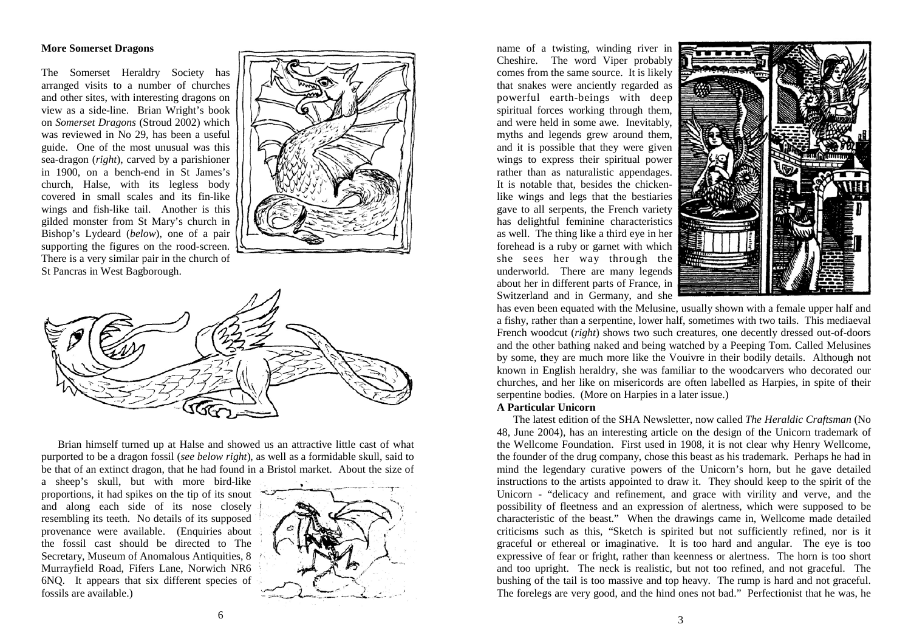#### **More Somerset Dragons**

The Somerset Heraldry Society has arranged visits to a number of churches and other sites, with interesting dragons on view as a side-line. Brian Wright's book on *Somerset Dragons* (Stroud 2002) which was reviewed in No 29, has been a useful guide. One of the most unusual was this sea-dragon (*right*), carved by a parishioner in 1900, on a bench-end in St James's church, Halse, with its legless body covered in small scales and its fin-like wings and fish-like tail. Another is this gilded monster from St Mary's church in Bishop's Lydeard (*below*), one of a pair supporting the figures on the rood-screen. There is a very similar pair in the church of St Pancras in West Bagborough.





 Brian himself turned up at Halse and showed us an attractive little cast of what purported to be a dragon fossil (*see below right*), as well as a formidable skull, said to be that of an extinct dragon, that he had found in a Bristol market. About the size of

a sheep's skull, but with more bird-like proportions, it had spikes on the tip of its snout and along each side of its nose closely resembling its teeth. No details of its supposed provenance were available. (Enquiries about the fossil cast should be directed to The Secretary, Museum of Anomalous Antiquities, 8 Murrayfield Road, Fifers Lane, Norwich NR6 6NQ. It appears that six different species of fossils are available.)



name of a twisting, winding river in Cheshire. The word Viper probably comes from the same source. It is likely that snakes were anciently regarded as powerful earth-beings with deep spiritual forces working through them, and were held in some awe. Inevitably, myths and legends grew around them, and it is possible that they were given wings to express their spiritual power rather than as naturalistic appendages. It is notable that, besides the chickenlike wings and legs that the bestiaries gave to all serpents, the French variety has delightful feminine characteristics as well. The thing like a third eye in her forehead is a ruby or garnet with which she sees her way through the underworld. There are many legends about her in different parts of France, in Switzerland and in Germany, and she



has even been equated with the Melusine, usually shown with a female upper half and a fishy, rather than a serpentine, lower half, sometimes with two tails. This mediaeval French woodcut (*right*) shows two such creatures, one decently dressed out-of-doors and the other bathing naked and being watched by a Peeping Tom. Called Melusines by some, they are much more like the Vouivre in their bodily details. Although not known in English heraldry, she was familiar to the woodcarvers who decorated our churches, and her like on misericords are often labelled as Harpies, in spite of their serpentine bodies. (More on Harpies in a later issue.)

#### **A Particular Unicorn**

 The latest edition of the SHA Newsletter, now called *The Heraldic Craftsman* (No 48, June 2004), has an interesting article on the design of the Unicorn trademark of the Wellcome Foundation. First used in 1908, it is not clear why Henry Wellcome, the founder of the drug company, chose this beast as his trademark. Perhaps he had in mind the legendary curative powers of the Unicorn's horn, but he gave detailed instructions to the artists appointed to draw it. They should keep to the spirit of the Unicorn - "delicacy and refinement, and grace with virility and verve, and the possibility of fleetness and an expression of alertness, which were supposed to be characteristic of the beast." When the drawings came in, Wellcome made detailed criticisms such as this, "Sketch is spirited but not sufficiently refined, nor is it graceful or ethereal or imaginative. It is too hard and angular. The eye is too expressive of fear or fright, rather than keenness or alertness. The horn is too short and too upright. The neck is realistic, but not too refined, and not graceful. The bushing of the tail is too massive and top heavy. The rump is hard and not graceful. The forelegs are very good, and the hind ones not bad." Perfectionist that he was, he